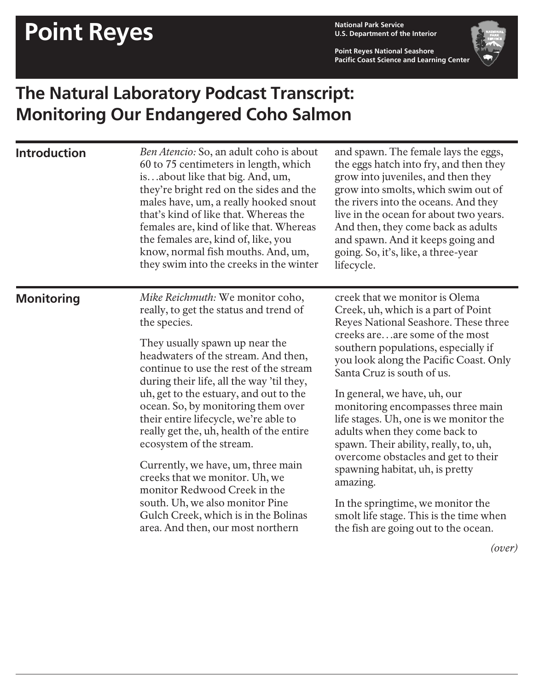## **Point Reyes National Park Service**

**U.S. Department of the Interior**

**Point Reyes National Seashore Pacific Coast Science and Learning Center**



## **The Natural Laboratory Podcast Transcript: Monitoring Our Endangered Coho Salmon**

| <b>Introduction</b> | Ben Atencio: So, an adult coho is about<br>60 to 75 centimeters in length, which<br>isabout like that big. And, um,<br>they're bright red on the sides and the<br>males have, um, a really hooked snout<br>that's kind of like that. Whereas the<br>females are, kind of like that. Whereas<br>the females are, kind of, like, you<br>know, normal fish mouths. And, um,<br>they swim into the creeks in the winter                                                                                                                                                                                                                                                                 | and spawn. The female lays the eggs,<br>the eggs hatch into fry, and then they<br>grow into juveniles, and then they<br>grow into smolts, which swim out of<br>the rivers into the oceans. And they<br>live in the ocean for about two years.<br>And then, they come back as adults<br>and spawn. And it keeps going and<br>going. So, it's, like, a three-year<br>lifecycle.                                                                                                                                                                                                                                                                                         |
|---------------------|-------------------------------------------------------------------------------------------------------------------------------------------------------------------------------------------------------------------------------------------------------------------------------------------------------------------------------------------------------------------------------------------------------------------------------------------------------------------------------------------------------------------------------------------------------------------------------------------------------------------------------------------------------------------------------------|-----------------------------------------------------------------------------------------------------------------------------------------------------------------------------------------------------------------------------------------------------------------------------------------------------------------------------------------------------------------------------------------------------------------------------------------------------------------------------------------------------------------------------------------------------------------------------------------------------------------------------------------------------------------------|
| <b>Monitoring</b>   | Mike Reichmuth: We monitor coho,<br>really, to get the status and trend of<br>the species.<br>They usually spawn up near the<br>headwaters of the stream. And then,<br>continue to use the rest of the stream<br>during their life, all the way 'til they,<br>uh, get to the estuary, and out to the<br>ocean. So, by monitoring them over<br>their entire lifecycle, we're able to<br>really get the, uh, health of the entire<br>ecosystem of the stream.<br>Currently, we have, um, three main<br>creeks that we monitor. Uh, we<br>monitor Redwood Creek in the<br>south. Uh, we also monitor Pine<br>Gulch Creek, which is in the Bolinas<br>area. And then, our most northern | creek that we monitor is Olema<br>Creek, uh, which is a part of Point<br>Reyes National Seashore. These three<br>creeks areare some of the most<br>southern populations, especially if<br>you look along the Pacific Coast. Only<br>Santa Cruz is south of us.<br>In general, we have, uh, our<br>monitoring encompasses three main<br>life stages. Uh, one is we monitor the<br>adults when they come back to<br>spawn. Their ability, really, to, uh,<br>overcome obstacles and get to their<br>spawning habitat, uh, is pretty<br>amazing.<br>In the springtime, we monitor the<br>smolt life stage. This is the time when<br>the fish are going out to the ocean. |